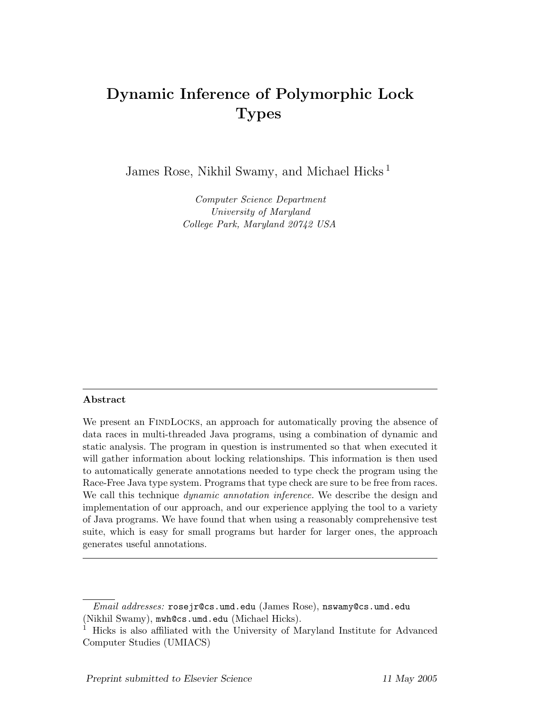# Dynamic Inference of Polymorphic Lock Types

James Rose, Nikhil Swamy, and Michael Hicks<sup>1</sup>

Computer Science Department University of Maryland College Park, Maryland 20742 USA

#### Abstract

We present an FINDLOCKS, an approach for automatically proving the absence of data races in multi-threaded Java programs, using a combination of dynamic and static analysis. The program in question is instrumented so that when executed it will gather information about locking relationships. This information is then used to automatically generate annotations needed to type check the program using the Race-Free Java type system. Programs that type check are sure to be free from races. We call this technique *dynamic annotation inference*. We describe the design and implementation of our approach, and our experience applying the tool to a variety of Java programs. We have found that when using a reasonably comprehensive test suite, which is easy for small programs but harder for larger ones, the approach generates useful annotations.

Email addresses: rosejr@cs.umd.edu (James Rose), nswamy@cs.umd.edu (Nikhil Swamy), mwh@cs.umd.edu (Michael Hicks).

<sup>&</sup>lt;sup>1</sup> Hicks is also affiliated with the University of Maryland Institute for Advanced Computer Studies (UMIACS)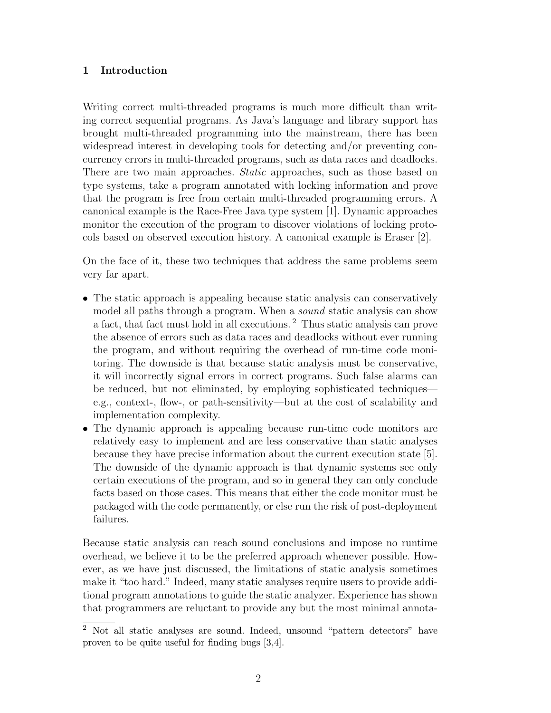# 1 Introduction

Writing correct multi-threaded programs is much more difficult than writing correct sequential programs. As Java's language and library support has brought multi-threaded programming into the mainstream, there has been widespread interest in developing tools for detecting and/or preventing concurrency errors in multi-threaded programs, such as data races and deadlocks. There are two main approaches. Static approaches, such as those based on type systems, take a program annotated with locking information and prove that the program is free from certain multi-threaded programming errors. A canonical example is the Race-Free Java type system [1]. Dynamic approaches monitor the execution of the program to discover violations of locking protocols based on observed execution history. A canonical example is Eraser [2].

On the face of it, these two techniques that address the same problems seem very far apart.

- The static approach is appealing because static analysis can conservatively model all paths through a program. When a *sound* static analysis can show a fact, that fact must hold in all executions. <sup>2</sup> Thus static analysis can prove the absence of errors such as data races and deadlocks without ever running the program, and without requiring the overhead of run-time code monitoring. The downside is that because static analysis must be conservative, it will incorrectly signal errors in correct programs. Such false alarms can be reduced, but not eliminated, by employing sophisticated techniques e.g., context-, flow-, or path-sensitivity—but at the cost of scalability and implementation complexity.
- The dynamic approach is appealing because run-time code monitors are relatively easy to implement and are less conservative than static analyses because they have precise information about the current execution state [5]. The downside of the dynamic approach is that dynamic systems see only certain executions of the program, and so in general they can only conclude facts based on those cases. This means that either the code monitor must be packaged with the code permanently, or else run the risk of post-deployment failures.

Because static analysis can reach sound conclusions and impose no runtime overhead, we believe it to be the preferred approach whenever possible. However, as we have just discussed, the limitations of static analysis sometimes make it "too hard." Indeed, many static analyses require users to provide additional program annotations to guide the static analyzer. Experience has shown that programmers are reluctant to provide any but the most minimal annota-

 $\overline{2}$  Not all static analyses are sound. Indeed, unsound "pattern detectors" have proven to be quite useful for finding bugs [3,4].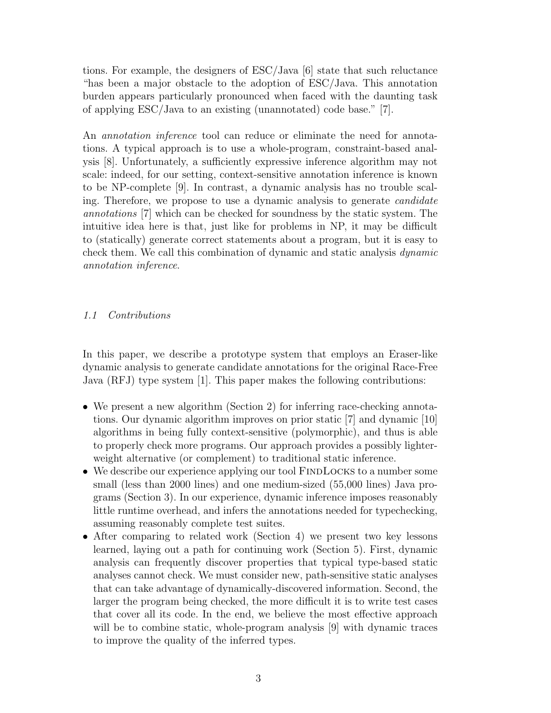tions. For example, the designers of ESC/Java [6] state that such reluctance "has been a major obstacle to the adoption of ESC/Java. This annotation burden appears particularly pronounced when faced with the daunting task of applying ESC/Java to an existing (unannotated) code base." [7].

An *annotation inference* tool can reduce or eliminate the need for annotations. A typical approach is to use a whole-program, constraint-based analysis [8]. Unfortunately, a sufficiently expressive inference algorithm may not scale: indeed, for our setting, context-sensitive annotation inference is known to be NP-complete [9]. In contrast, a dynamic analysis has no trouble scaling. Therefore, we propose to use a dynamic analysis to generate candidate annotations [7] which can be checked for soundness by the static system. The intuitive idea here is that, just like for problems in NP, it may be difficult to (statically) generate correct statements about a program, but it is easy to check them. We call this combination of dynamic and static analysis dynamic annotation inference.

### 1.1 Contributions

In this paper, we describe a prototype system that employs an Eraser-like dynamic analysis to generate candidate annotations for the original Race-Free Java (RFJ) type system [1]. This paper makes the following contributions:

- We present a new algorithm (Section 2) for inferring race-checking annotations. Our dynamic algorithm improves on prior static [7] and dynamic [10] algorithms in being fully context-sensitive (polymorphic), and thus is able to properly check more programs. Our approach provides a possibly lighterweight alternative (or complement) to traditional static inference.
- We describe our experience applying our tool FINDLOCKS to a number some small (less than 2000 lines) and one medium-sized (55,000 lines) Java programs (Section 3). In our experience, dynamic inference imposes reasonably little runtime overhead, and infers the annotations needed for typechecking, assuming reasonably complete test suites.
- After comparing to related work (Section 4) we present two key lessons learned, laying out a path for continuing work (Section 5). First, dynamic analysis can frequently discover properties that typical type-based static analyses cannot check. We must consider new, path-sensitive static analyses that can take advantage of dynamically-discovered information. Second, the larger the program being checked, the more difficult it is to write test cases that cover all its code. In the end, we believe the most effective approach will be to combine static, whole-program analysis [9] with dynamic traces to improve the quality of the inferred types.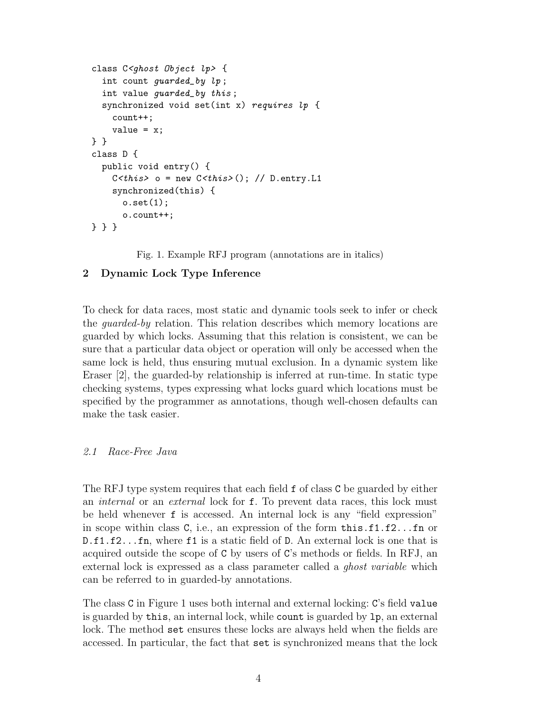```
class C<ghost Object lp> {
  int count guarded_by lp ;
  int value guarded_by this ;
  synchronized void set(int x) requires lp {
    count++;
    value = x;
} }
class D {
 public void entry() {
    C < this> o = new C < this> (); // D.entry.L1
    synchronized(this) {
      o.set(1);o.count++;
} } }
```
Fig. 1. Example RFJ program (annotations are in italics)

# 2 Dynamic Lock Type Inference

To check for data races, most static and dynamic tools seek to infer or check the guarded-by relation. This relation describes which memory locations are guarded by which locks. Assuming that this relation is consistent, we can be sure that a particular data object or operation will only be accessed when the same lock is held, thus ensuring mutual exclusion. In a dynamic system like Eraser [2], the guarded-by relationship is inferred at run-time. In static type checking systems, types expressing what locks guard which locations must be specified by the programmer as annotations, though well-chosen defaults can make the task easier.

# 2.1 Race-Free Java

The RFJ type system requires that each field f of class C be guarded by either an *internal* or an *external* lock for **f**. To prevent data races, this lock must be held whenever f is accessed. An internal lock is any "field expression" in scope within class C, i.e., an expression of the form  $\text{this}.f1.f2...f2$  or D.f1.f2...fn, where f1 is a static field of D. An external lock is one that is acquired outside the scope of C by users of C's methods or fields. In RFJ, an external lock is expressed as a class parameter called a ghost variable which can be referred to in guarded-by annotations.

The class C in Figure 1 uses both internal and external locking: C's field value is guarded by this, an internal lock, while count is guarded by lp, an external lock. The method set ensures these locks are always held when the fields are accessed. In particular, the fact that set is synchronized means that the lock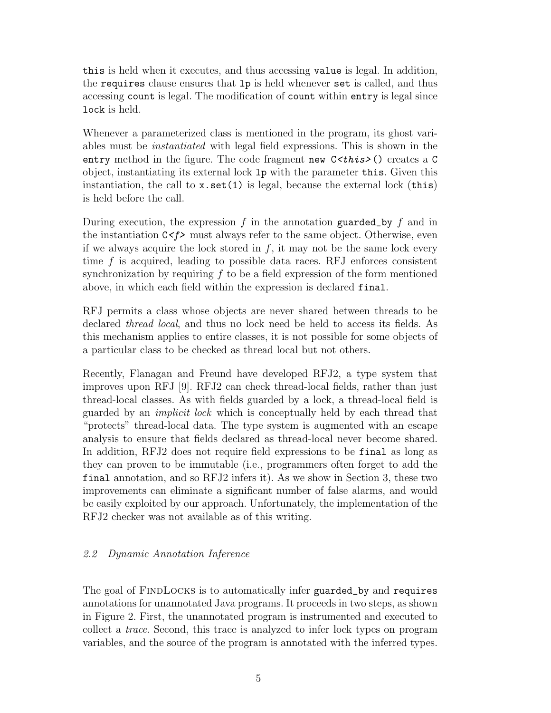this is held when it executes, and thus accessing value is legal. In addition, the requires clause ensures that lp is held whenever set is called, and thus accessing count is legal. The modification of count within entry is legal since lock is held.

Whenever a parameterized class is mentioned in the program, its ghost variables must be instantiated with legal field expressions. This is shown in the entry method in the figure. The code fragment new  $C \lt this > 0$  creates a C object, instantiating its external lock lp with the parameter this. Given this instantiation, the call to  $x.set(1)$  is legal, because the external lock (this) is held before the call.

During execution, the expression  $f$  in the annotation guarded by  $f$  and in the instantiation  $C \leq f$  must always refer to the same object. Otherwise, even if we always acquire the lock stored in  $f$ , it may not be the same lock every time  $f$  is acquired, leading to possible data races. RFJ enforces consistent synchronization by requiring  $f$  to be a field expression of the form mentioned above, in which each field within the expression is declared final.

RFJ permits a class whose objects are never shared between threads to be declared thread local, and thus no lock need be held to access its fields. As this mechanism applies to entire classes, it is not possible for some objects of a particular class to be checked as thread local but not others.

Recently, Flanagan and Freund have developed RFJ2, a type system that improves upon RFJ [9]. RFJ2 can check thread-local fields, rather than just thread-local classes. As with fields guarded by a lock, a thread-local field is guarded by an implicit lock which is conceptually held by each thread that "protects" thread-local data. The type system is augmented with an escape analysis to ensure that fields declared as thread-local never become shared. In addition, RFJ2 does not require field expressions to be final as long as they can proven to be immutable (i.e., programmers often forget to add the final annotation, and so RFJ2 infers it). As we show in Section 3, these two improvements can eliminate a significant number of false alarms, and would be easily exploited by our approach. Unfortunately, the implementation of the RFJ2 checker was not available as of this writing.

#### 2.2 Dynamic Annotation Inference

The goal of FINDLOCKS is to automatically infer guarded\_by and requires annotations for unannotated Java programs. It proceeds in two steps, as shown in Figure 2. First, the unannotated program is instrumented and executed to collect a trace. Second, this trace is analyzed to infer lock types on program variables, and the source of the program is annotated with the inferred types.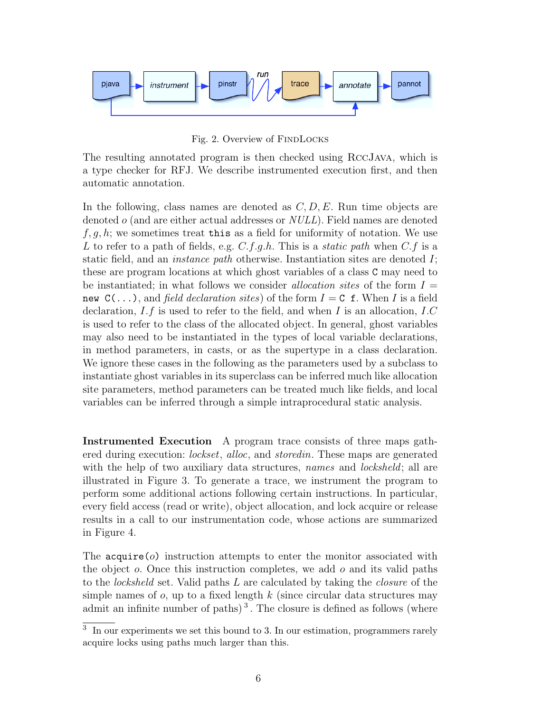

Fig. 2. Overview of FINDLOCKS

The resulting annotated program is then checked using RccJava, which is a type checker for RFJ. We describe instrumented execution first, and then automatic annotation.

In the following, class names are denoted as  $C, D, E$ . Run time objects are denoted o (and are either actual addresses or NULL). Field names are denoted  $f, q, h$ ; we sometimes treat this as a field for uniformity of notation. We use L to refer to a path of fields, e.g.  $C.f.g.h$ . This is a *static path* when  $C.f$  is a static field, and an instance path otherwise. Instantiation sites are denoted I; these are program locations at which ghost variables of a class C may need to be instantiated; in what follows we consider *allocation sites* of the form  $I =$ new  $C(\ldots)$ , and field declaration sites) of the form  $I = C$  f. When I is a field declaration,  $I.f$  is used to refer to the field, and when  $I$  is an allocation,  $I.C$ is used to refer to the class of the allocated object. In general, ghost variables may also need to be instantiated in the types of local variable declarations, in method parameters, in casts, or as the supertype in a class declaration. We ignore these cases in the following as the parameters used by a subclass to instantiate ghost variables in its superclass can be inferred much like allocation site parameters, method parameters can be treated much like fields, and local variables can be inferred through a simple intraprocedural static analysis.

Instrumented Execution A program trace consists of three maps gathered during execution: *lockset*, alloc, and *storedin*. These maps are generated with the help of two auxiliary data structures, *names* and *locksheld*; all are illustrated in Figure 3. To generate a trace, we instrument the program to perform some additional actions following certain instructions. In particular, every field access (read or write), object allocation, and lock acquire or release results in a call to our instrumentation code, whose actions are summarized in Figure 4.

The  $acquire(0)$  instruction attempts to enter the monitor associated with the object  $o$ . Once this instruction completes, we add  $o$  and its valid paths to the locksheld set. Valid paths L are calculated by taking the closure of the simple names of  $o$ , up to a fixed length k (since circular data structures may admit an infinite number of paths)<sup>3</sup>. The closure is defined as follows (where

<sup>&</sup>lt;sup>3</sup> In our experiments we set this bound to 3. In our estimation, programmers rarely acquire locks using paths much larger than this.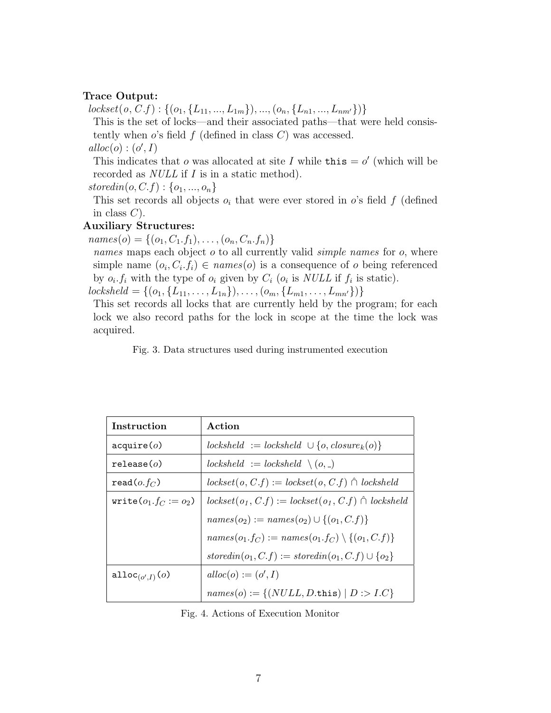#### Trace Output:

 $lockset(o, C.f): \{(o_1, \{L_{11},..., L_{1m}\}), ..., (o_n, \{L_{n1},..., L_{nm'}\})\}\$ 

This is the set of locks—and their associated paths—that were held consistently when  $o$ 's field  $f$  (defined in class  $C$ ) was accessed.

 $alloc(o) : (o', I)$ 

This indicates that o was allocated at site I while this  $= o'$  (which will be recorded as NULL if I is in a static method).

storedin( $o, C.f$ ) : { $o_1, ..., o_n$ }

This set records all objects  $o_i$  that were ever stored in o's field f (defined in class  $C$ ).

#### Auxiliary Structures:

 $names(o) = \{(o_1, C_1.f_1), \ldots, (o_n, C_n.f_n)\}\$ 

names maps each object  $o$  to all currently valid *simple names* for  $o$ , where simple name  $(o_i, C_i, f_i) \in names(o)$  is a consequence of *o* being referenced by  $o_i$ ,  $f_i$  with the type of  $o_i$  given by  $C_i$   $(o_i$  is NULL if  $f_i$  is static).

 $locksheld = \{(o_1, \{L_{11}, \ldots, L_{1n}\}), \ldots, (o_m, \{L_{m1}, \ldots, L_{mn'}\})\}\$ 

This set records all locks that are currently held by the program; for each lock we also record paths for the lock in scope at the time the lock was acquired.

Fig. 3. Data structures used during instrumented execution

| Instruction              | Action                                                      |
|--------------------------|-------------------------------------------------------------|
| acquire(o)               | $locksheld := locksheld \cup \{o, closure_k(o)\}\$          |
| relcase(o)               | $locksheld := lockshell \ (o, )$                            |
| $read(o.f_C)$            | $lockset(o, C.f) := lockset(o, C.f) \cap lockshell$         |
| write $(o_1.f_C := o_2)$ | $lockset(o_1, C.f) := lockset(o_1, C.f) \cap lockshed$      |
|                          | $names(o_2) := names(o_2) \cup \{(o_1, C, f)\}\$            |
|                          | $names(o_1.f_C) := names(o_1.f_C) \setminus \{(o_1,C.f)\}\$ |
|                          | $storedin(o_1, C.f) := storedin(o_1, C.f) \cup \{o_2\}$     |
| alloc $_{(o',I)}(o)$     | $alloc(o) := (o', I)$                                       |
|                          | $names(o) := \{(NULL, D.$ this $)   D : > I.C\}$            |

Fig. 4. Actions of Execution Monitor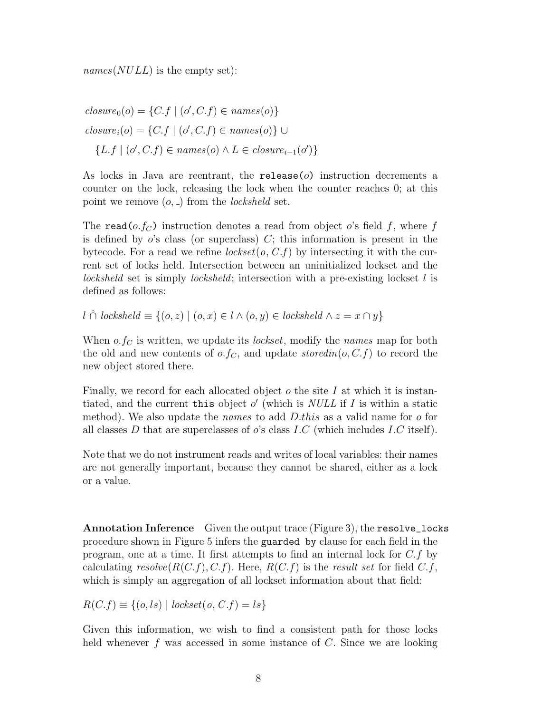$names(NULL)$  is the empty set):

$$
closure_0(o) = \{C.f \mid (o', C.f) \in names(o)\}
$$
  

$$
closure_i(o) = \{C.f \mid (o', C.f) \in names(o)\} \cup
$$
  

$$
\{L.f \mid (o', C.f) \in names(o) \land L \in closure_{i-1}(o')\}
$$

As locks in Java are reentrant, the release( $o$ ) instruction decrements a counter on the lock, releasing the lock when the counter reaches 0; at this point we remove  $(o, \_)$  from the *locksheld* set.

The read( $o.f_C$ ) instruction denotes a read from object o's field f, where f is defined by  $o$ 's class (or superclass)  $C$ ; this information is present in the bytecode. For a read we refine  $lockset(o, C.f)$  by intersecting it with the current set of locks held. Intersection between an uninitialized lockset and the locksheld set is simply locksheld; intersection with a pre-existing lockset l is defined as follows:

l ∩̂ locksheld  $\equiv \{(o, z) \mid (o, x) \in l \land (o, y) \in \text{lockshell} \land z = x \cap y\}$ 

When  $o.f_C$  is written, we update its *lockset*, modify the *names* map for both the old and new contents of  $o.f_C$ , and update storedin( $o, C.f$ ) to record the new object stored there.

Finally, we record for each allocated object  $\sigma$  the site I at which it is instantiated, and the current this object  $o'$  (which is NULL if I is within a static method). We also update the *names* to add  $D$ *this* as a valid name for o for all classes D that are superclasses of  $o$ 's class I.C (which includes I.C itself).

Note that we do not instrument reads and writes of local variables: their names are not generally important, because they cannot be shared, either as a lock or a value.

Annotation Inference Given the output trace (Figure 3), the resolve\_locks procedure shown in Figure 5 infers the guarded by clause for each field in the program, one at a time. It first attempts to find an internal lock for  $C.f$  by calculating  $resolve(R(C.f), C.f)$ . Here,  $R(C.f)$  is the result set for field  $C.f$ , which is simply an aggregation of all lockset information about that field:

$$
R(C.f) \equiv \{(o, ls) | lockset(o, C.f) = ls\}
$$

Given this information, we wish to find a consistent path for those locks held whenever  $f$  was accessed in some instance of  $C$ . Since we are looking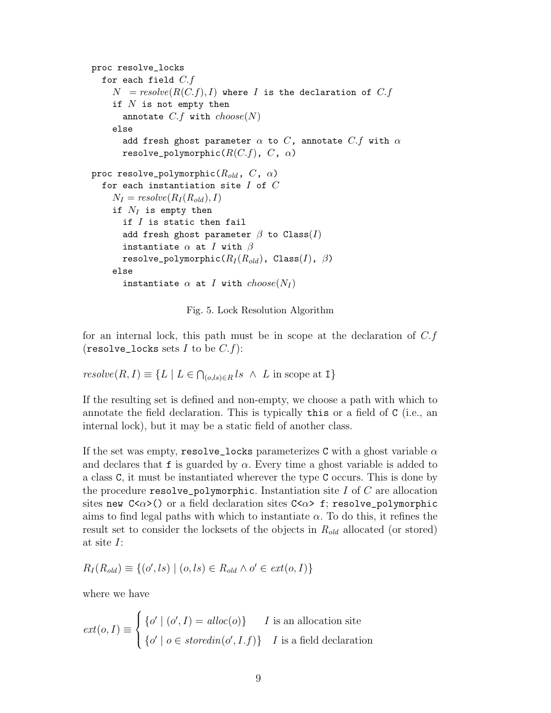```
proc resolve_locks
  for each field C.fN = resolve(R(C.f), I) where I is the declaration of C.fif N is not empty then
      annotate C.f with choose(N)else
      add fresh ghost parameter \alpha to C, annotate C.f with \alpharesolve_polymorphic(R(C.f), C, \alpha)
proc resolve_polymorphic(R_{old}, C, \alpha)
  for each instantiation site I of CN_I = resolve(R_I(R_{old}), I)if N_I is empty then
      if I is static then fail
      add fresh ghost parameter \beta to Class(I)
      instantiate \alpha at I with \betaresolve_polymorphic(R_I (R_{old}), Class(I), \beta)
    else
       instantiate \alpha at I with choose(N_I)
```
Fig. 5. Lock Resolution Algorithm

for an internal lock, this path must be in scope at the declaration of  $C.f$ (resolve\_locks sets  $I$  to be  $C.f$ ):

$$
resolve(R, I) \equiv \{ L \mid L \in \bigcap_{(o, ls) \in R} ls \land L \text{ in scope at I} \}
$$

If the resulting set is defined and non-empty, we choose a path with which to annotate the field declaration. This is typically this or a field of C (i.e., an internal lock), but it may be a static field of another class.

If the set was empty, resolve\_locks parameterizes C with a ghost variable  $\alpha$ and declares that f is guarded by  $\alpha$ . Every time a ghost variable is added to a class C, it must be instantiated wherever the type C occurs. This is done by the procedure resolve\_polymorphic. Instantiation site I of  $C$  are allocation sites new  $C \langle \alpha \rangle$  or a field declaration sites  $C \langle \alpha \rangle$  f; resolve\_polymorphic aims to find legal paths with which to instantiate  $\alpha$ . To do this, it refines the result set to consider the locksets of the objects in  $R_{old}$  allocated (or stored) at site I:

$$
R_I(R_{old}) \equiv \{ (o', ls) \mid (o, ls) \in R_{old} \land o' \in ext(o, I) \}
$$

where we have

$$
ext(o, I) \equiv \begin{cases} \{o' \mid (o', I) = \text{alloc}(o)\} & I \text{ is an allocation site} \\ \{o' \mid o \in \text{storedin}(o', I.f)\} & I \text{ is a field declaration} \end{cases}
$$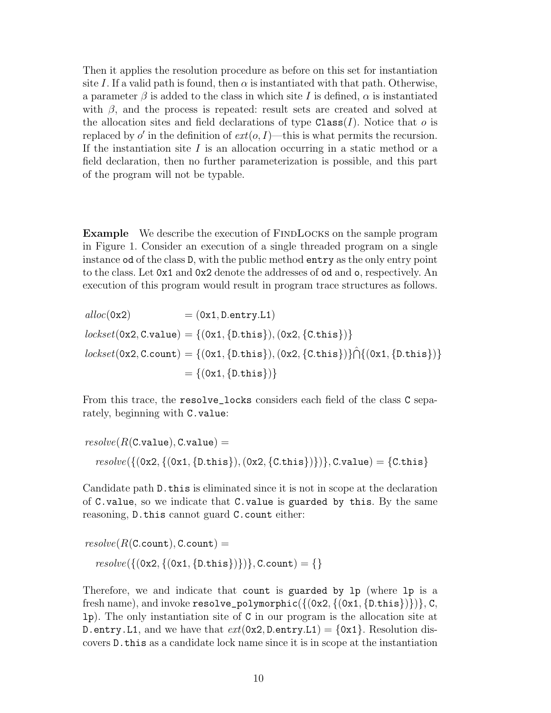Then it applies the resolution procedure as before on this set for instantiation site I. If a valid path is found, then  $\alpha$  is instantiated with that path. Otherwise, a parameter  $\beta$  is added to the class in which site I is defined,  $\alpha$  is instantiated with  $\beta$ , and the process is repeated: result sets are created and solved at the allocation sites and field declarations of type  $\texttt{Class}(I)$ . Notice that o is replaced by  $o'$  in the definition of  $ext(o, I)$ —this is what permits the recursion. If the instantiation site  $I$  is an allocation occurring in a static method or a field declaration, then no further parameterization is possible, and this part of the program will not be typable.

**Example** We describe the execution of FINDLOCKS on the sample program in Figure 1. Consider an execution of a single threaded program on a single instance od of the class D, with the public method entry as the only entry point to the class. Let 0x1 and 0x2 denote the addresses of od and o, respectively. An execution of this program would result in program trace structures as follows.

$$
alloc(0x2) = (0x1, D.entry.L1)
$$
  
\n
$$
lockset(0x2, C.value) = \{(0x1, \{D.this\}), (0x2, \{C.this\})\}
$$
  
\n
$$
lockset(0x2, C.count) = \{(0x1, \{D.this\}), (0x2, \{C.this\})\} \cap \{(0x1, \{D.this\})\}
$$
  
\n
$$
= \{(0x1, \{D.this\})\}
$$

From this trace, the resolve\_locks considers each field of the class C separately, beginning with C.value:

$$
resolve(R(C.value), C.value) =
$$
  

$$
resolve(\{(0x2, \{(0x1, \{D.this\}), (0x2, \{C.this\})\})
$$
, C.value) = {C.this}

Candidate path D.this is eliminated since it is not in scope at the declaration of C.value, so we indicate that C.value is guarded by this. By the same reasoning, D.this cannot guard C.count either:

$$
resolve(R(C.count), C.count) =
$$

$$
resolve(\{(0x2, \{(0x1, \{D.this\})\})}, C.count) = \{\}
$$

Therefore, we and indicate that count is guarded by lp (where lp is a fresh name), and invoke resolve\_polymorphic( $\{(0x2, \{(0x1, \{D.$ this $\})\})$ , C, lp). The only instantiation site of C in our program is the allocation site at D.entry.L1, and we have that  $ext(0x2, D.\nentry.L1) = \{0x1\}$ . Resolution discovers D.this as a candidate lock name since it is in scope at the instantiation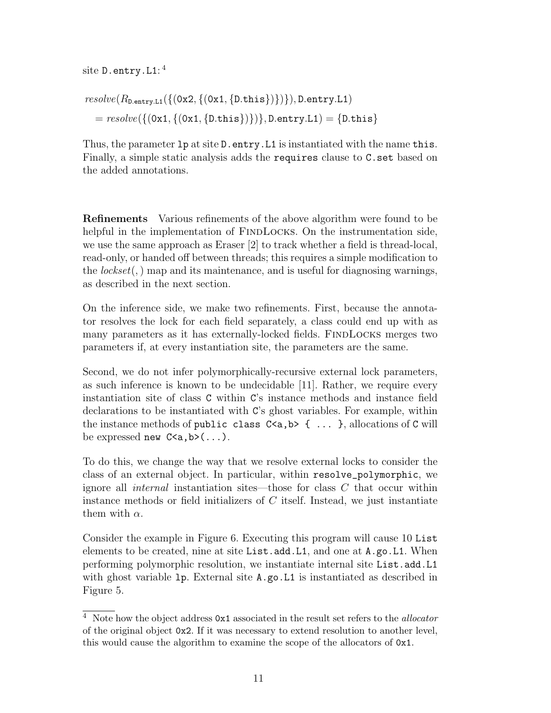$\mathrm{site}$  D.entry.L1:  $^4$ 

$$
resolve(R_{D.\text{entry.L1}}(\{(0x2, \{(0x1, \{D.\text{this}\})\})\}), D.\text{entry.L1})
$$

$$
= resolve(\{(0x1, \{(0x1, \{D.\text{this}\})\})\}, D.\text{entry.L1}) = \{D.\text{this}\}
$$

Thus, the parameter  $1p$  at site D.entry. L1 is instantiated with the name this. Finally, a simple static analysis adds the requires clause to C.set based on the added annotations.

Refinements Various refinements of the above algorithm were found to be helpful in the implementation of FINDLOCKS. On the instrumentation side, we use the same approach as Eraser [2] to track whether a field is thread-local, read-only, or handed off between threads; this requires a simple modification to the  $lockset$ , map and its maintenance, and is useful for diagnosing warnings, as described in the next section.

On the inference side, we make two refinements. First, because the annotator resolves the lock for each field separately, a class could end up with as many parameters as it has externally-locked fields. FINDLOCKS merges two parameters if, at every instantiation site, the parameters are the same.

Second, we do not infer polymorphically-recursive external lock parameters, as such inference is known to be undecidable [11]. Rather, we require every instantiation site of class C within C's instance methods and instance field declarations to be instantiated with C's ghost variables. For example, within the instance methods of public class  $C \le a, b > \{ \ldots \}$ , allocations of C will be expressed new  $C \le a, b \ge ( \dots ).$ 

To do this, we change the way that we resolve external locks to consider the class of an external object. In particular, within resolve\_polymorphic, we ignore all *internal* instantiation sites—those for class  $C$  that occur within instance methods or field initializers of  $C$  itself. Instead, we just instantiate them with  $\alpha$ .

Consider the example in Figure 6. Executing this program will cause 10 List elements to be created, nine at site List.add.L1, and one at A.go.L1. When performing polymorphic resolution, we instantiate internal site List.add.L1 with ghost variable 1p. External site  $A$ , go. L1 is instantiated as described in Figure 5.

 $^4\,$  Note how the object address  $0\times 1$  associated in the result set refers to the  $\it allocation$ of the original object 0x2. If it was necessary to extend resolution to another level, this would cause the algorithm to examine the scope of the allocators of 0x1.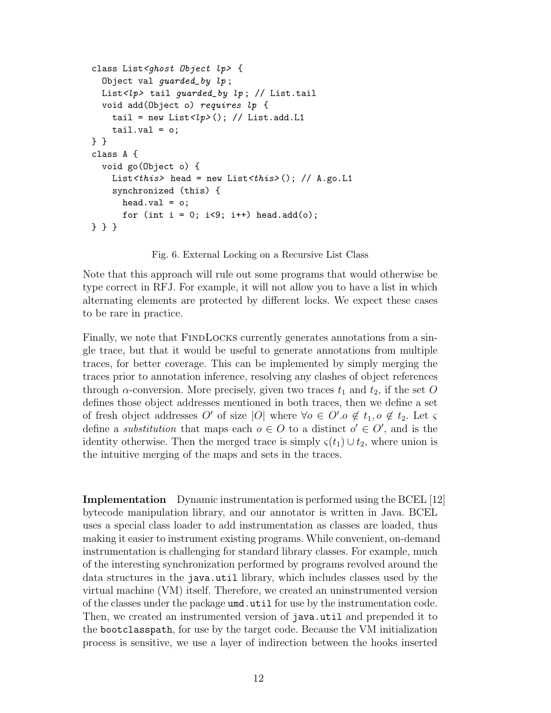```
class List<ghost Object lp> {
  Object val guarded_by lp ;
 List<lp> tail guarded_by lp; // List.tail
 void add(Object o) requires lp {
    tail = new List<lp>(); // List.add.L1
    tail.val = o;} }
class A {
 void go(Object o) {
    List<this> head = new List<this>(); // A.go.L1
    synchronized (this) {
     head.val = o;
      for (int i = 0; i<9; i++) head.add(o);
} } }
```
Fig. 6. External Locking on a Recursive List Class

Note that this approach will rule out some programs that would otherwise be type correct in RFJ. For example, it will not allow you to have a list in which alternating elements are protected by different locks. We expect these cases to be rare in practice.

Finally, we note that FINDLOCKS currently generates annotations from a single trace, but that it would be useful to generate annotations from multiple traces, for better coverage. This can be implemented by simply merging the traces prior to annotation inference, resolving any clashes of object references through  $\alpha$ -conversion. More precisely, given two traces  $t_1$  and  $t_2$ , if the set O defines those object addresses mentioned in both traces, then we define a set of fresh object addresses O' of size |O| where  $\forall o \in O'.o \notin t_1, o \notin t_2$ . Let  $\varsigma$ define a *substitution* that maps each  $o \in O$  to a distinct  $o' \in O'$ , and is the identity otherwise. Then the merged trace is simply  $\varsigma(t_1) \cup t_2$ , where union is the intuitive merging of the maps and sets in the traces.

Implementation Dynamic instrumentation is performed using the BCEL [12] bytecode manipulation library, and our annotator is written in Java. BCEL uses a special class loader to add instrumentation as classes are loaded, thus making it easier to instrument existing programs. While convenient, on-demand instrumentation is challenging for standard library classes. For example, much of the interesting synchronization performed by programs revolved around the data structures in the java.util library, which includes classes used by the virtual machine (VM) itself. Therefore, we created an uninstrumented version of the classes under the package umd.util for use by the instrumentation code. Then, we created an instrumented version of java.util and prepended it to the bootclasspath, for use by the target code. Because the VM initialization process is sensitive, we use a layer of indirection between the hooks inserted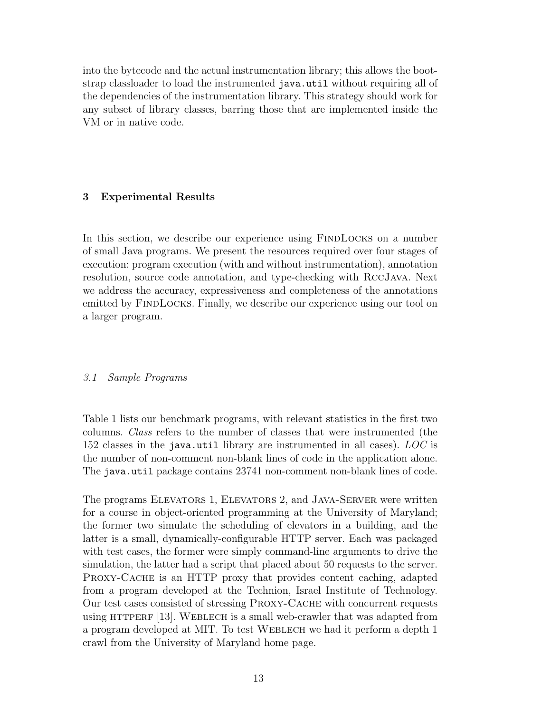into the bytecode and the actual instrumentation library; this allows the bootstrap classloader to load the instrumented java.util without requiring all of the dependencies of the instrumentation library. This strategy should work for any subset of library classes, barring those that are implemented inside the VM or in native code.

#### 3 Experimental Results

In this section, we describe our experience using FINDLOCKS on a number of small Java programs. We present the resources required over four stages of execution: program execution (with and without instrumentation), annotation resolution, source code annotation, and type-checking with RccJava. Next we address the accuracy, expressiveness and completeness of the annotations emitted by FINDLOCKS. Finally, we describe our experience using our tool on a larger program.

#### 3.1 Sample Programs

Table 1 lists our benchmark programs, with relevant statistics in the first two columns. Class refers to the number of classes that were instrumented (the 152 classes in the java.util library are instrumented in all cases).  $LOC$  is the number of non-comment non-blank lines of code in the application alone. The java.util package contains 23741 non-comment non-blank lines of code.

The programs ELEVATORS 1, ELEVATORS 2, and JAVA-SERVER were written for a course in object-oriented programming at the University of Maryland; the former two simulate the scheduling of elevators in a building, and the latter is a small, dynamically-configurable HTTP server. Each was packaged with test cases, the former were simply command-line arguments to drive the simulation, the latter had a script that placed about 50 requests to the server. Proxy-Cache is an HTTP proxy that provides content caching, adapted from a program developed at the Technion, Israel Institute of Technology. Our test cases consisted of stressing Proxy-Cache with concurrent requests using  $HTTPERF [13]$ . WEBLECH is a small web-crawler that was adapted from a program developed at MIT. To test Weblech we had it perform a depth 1 crawl from the University of Maryland home page.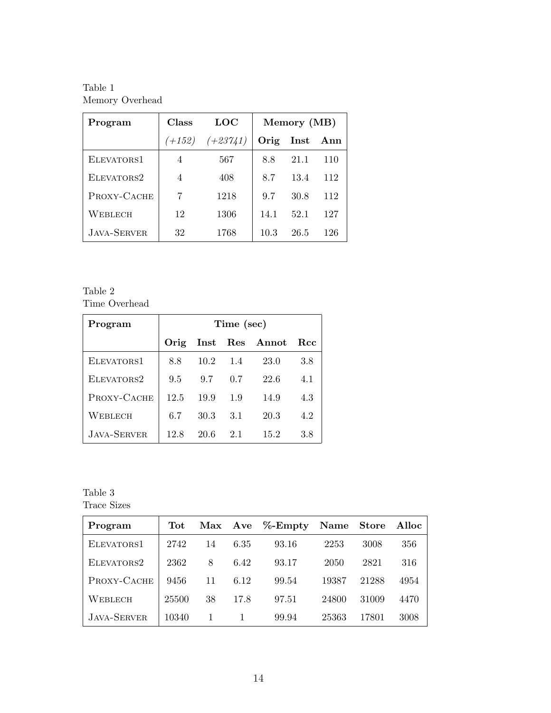Table 1 Memory Overhead

| Program            | <b>Class</b> | <b>LOC</b> | Memory (MB) |                 |     |
|--------------------|--------------|------------|-------------|-----------------|-----|
|                    | $(+152)$     | $(+23741)$ | Orig        | $\mathbf{Inst}$ | Ann |
| ELEVATORS1         | 4            | 567        | 8.8         | 21.1            | 110 |
| ELEVATORS2         | 4            | 408        | 8.7         | 13.4            | 112 |
| PROXY-CACHE        | 7            | 1218       | 9.7         | 30.8            | 112 |
| WEBLECH            | 12           | 1306       | 14.1        | 52.1            | 127 |
| <b>JAVA-SERVER</b> | 32           | 1768       | 10.3        | 26.5            | 126 |

Table 2 Time Overhead

| Program     | Time (sec) |      |                  |                |         |  |  |
|-------------|------------|------|------------------|----------------|---------|--|--|
|             | Orig       |      |                  | Inst Res Annot | Rcc     |  |  |
| ELEVATORS1  | 8.8        |      | $10.2 \quad 1.4$ | 23.0           | 3.8     |  |  |
| ELEVATORS2  | 9.5        | 9.7  | 0.7              | 22.6           | 4.1     |  |  |
| PROXY-CACHE | 12.5       | 19.9 | 1.9              | 14.9           | 4.3     |  |  |
| WEBLECH     | 6.7        | 30.3 | 3.1              | 20.3           | 4.2     |  |  |
| JAVA-SERVER | 12.8       | 20.6 | 2.1              | 15.2           | $3.8\,$ |  |  |

Table 3 Trace Sizes

| Program            | $\operatorname{\mathbf{Tot}}$ |    |      | Max Ave %-Empty | Name Store |       | Alloc |
|--------------------|-------------------------------|----|------|-----------------|------------|-------|-------|
| ELEVATORS1         | 2742                          | 14 | 6.35 | 93.16           | 2253       | 3008  | 356   |
| ELEVATORS2         | 2362                          | 8  | 6.42 | 93.17           | 2050       | 2821  | 316   |
| PROXY-CACHE        | 9456                          | 11 | 6.12 | 99.54           | 19387      | 21288 | 4954  |
| WEBLECH            | 25500                         | 38 | 17.8 | 97.51           | 24800      | 31009 | 4470  |
| <b>JAVA-SERVER</b> | 10340                         |    |      | 99.94           | 25363      | 17801 | 3008  |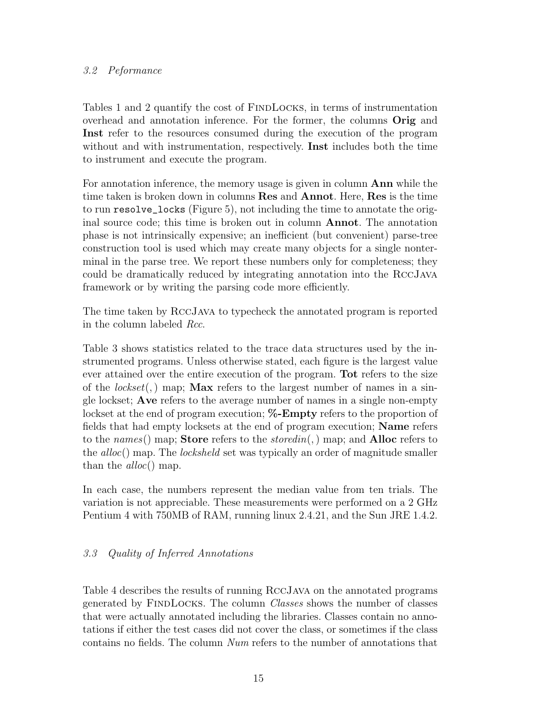# 3.2 Peformance

Tables 1 and 2 quantify the cost of FINDLOCKS, in terms of instrumentation overhead and annotation inference. For the former, the columns Orig and Inst refer to the resources consumed during the execution of the program without and with instrumentation, respectively. Inst includes both the time to instrument and execute the program.

For annotation inference, the memory usage is given in column Ann while the time taken is broken down in columns Res and Annot. Here, Res is the time to run resolve\_locks (Figure 5), not including the time to annotate the original source code; this time is broken out in column Annot. The annotation phase is not intrinsically expensive; an inefficient (but convenient) parse-tree construction tool is used which may create many objects for a single nonterminal in the parse tree. We report these numbers only for completeness; they could be dramatically reduced by integrating annotation into the RccJava framework or by writing the parsing code more efficiently.

The time taken by RccJava to typecheck the annotated program is reported in the column labeled Rcc.

Table 3 shows statistics related to the trace data structures used by the instrumented programs. Unless otherwise stated, each figure is the largest value ever attained over the entire execution of the program. Tot refers to the size of the lockset(,) map; **Max** refers to the largest number of names in a single lockset; Ave refers to the average number of names in a single non-empty lockset at the end of program execution;  $\%$ -**Empty** refers to the proportion of fields that had empty locksets at the end of program execution; Name refers to the names() map; **Store** refers to the *storedin*(,) map; and **Alloc** refers to the alloc() map. The locksheld set was typically an order of magnitude smaller than the  $alloc()$  map.

In each case, the numbers represent the median value from ten trials. The variation is not appreciable. These measurements were performed on a 2 GHz Pentium 4 with 750MB of RAM, running linux 2.4.21, and the Sun JRE 1.4.2.

# 3.3 Quality of Inferred Annotations

Table 4 describes the results of running RccJava on the annotated programs generated by FindLocks. The column Classes shows the number of classes that were actually annotated including the libraries. Classes contain no annotations if either the test cases did not cover the class, or sometimes if the class contains no fields. The column Num refers to the number of annotations that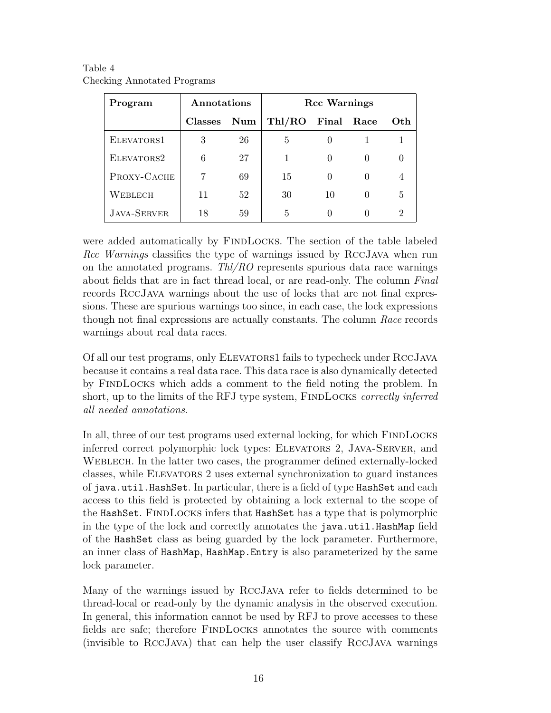| Program            | Annotations    |     | <b>Rcc Warnings</b> |            |              |     |
|--------------------|----------------|-----|---------------------|------------|--------------|-----|
|                    | <b>Classes</b> | Num | Thl/RO              | Final Race |              | Oth |
| ELEVATORS1         | 3              | 26  | 5                   |            |              |     |
| ELEVATORS2         | 6              | 27  |                     |            | 0            |     |
| PROXY-CACHE        |                | 69  | 15                  |            |              | 4   |
| WEBLECH            | 11             | 52  | 30                  | 10         | $\mathbf{0}$ | 5   |
| <b>JAVA-SERVER</b> | 18             | 59  | 5                   |            |              | 2   |

Table 4 Checking Annotated Programs

were added automatically by FINDLOCKS. The section of the table labeled Rcc Warnings classifies the type of warnings issued by RccJava when run on the annotated programs.  $Thl/RO$  represents spurious data race warnings about fields that are in fact thread local, or are read-only. The column Final records RccJava warnings about the use of locks that are not final expressions. These are spurious warnings too since, in each case, the lock expressions though not final expressions are actually constants. The column Race records warnings about real data races.

Of all our test programs, only Elevators1 fails to typecheck under RccJava because it contains a real data race. This data race is also dynamically detected by FindLocks which adds a comment to the field noting the problem. In short, up to the limits of the RFJ type system, FINDLOCKS correctly inferred all needed annotations.

In all, three of our test programs used external locking, for which FINDLOCKS inferred correct polymorphic lock types: Elevators 2, Java-Server, and Weblech. In the latter two cases, the programmer defined externally-locked classes, while Elevators 2 uses external synchronization to guard instances of java.util.HashSet. In particular, there is a field of type HashSet and each access to this field is protected by obtaining a lock external to the scope of the HashSet. FINDLOCKS infers that HashSet has a type that is polymorphic in the type of the lock and correctly annotates the java.util.HashMap field of the HashSet class as being guarded by the lock parameter. Furthermore, an inner class of HashMap, HashMap.Entry is also parameterized by the same lock parameter.

Many of the warnings issued by RccJava refer to fields determined to be thread-local or read-only by the dynamic analysis in the observed execution. In general, this information cannot be used by RFJ to prove accesses to these fields are safe; therefore FindLocks annotates the source with comments (invisible to RccJava) that can help the user classify RccJava warnings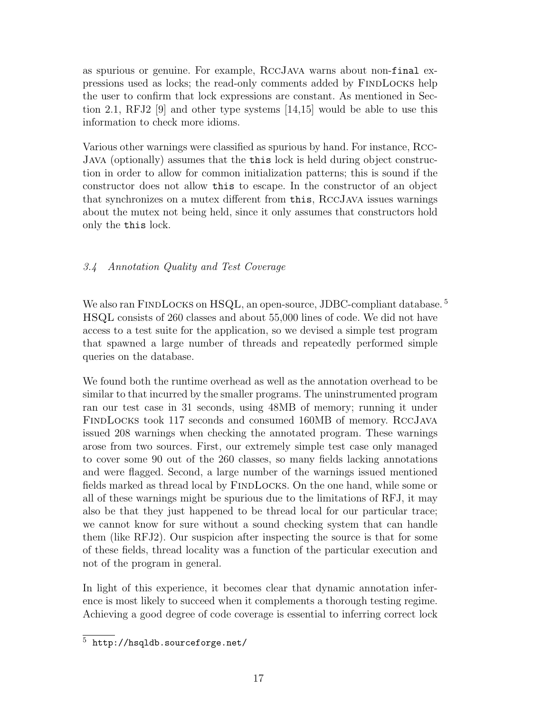as spurious or genuine. For example, RccJava warns about non-final expressions used as locks; the read-only comments added by FindLocks help the user to confirm that lock expressions are constant. As mentioned in Section 2.1, RFJ2 [9] and other type systems [14,15] would be able to use this information to check more idioms.

Various other warnings were classified as spurious by hand. For instance, Rcc-Java (optionally) assumes that the this lock is held during object construction in order to allow for common initialization patterns; this is sound if the constructor does not allow this to escape. In the constructor of an object that synchronizes on a mutex different from this, RccJava issues warnings about the mutex not being held, since it only assumes that constructors hold only the this lock.

# 3.4 Annotation Quality and Test Coverage

We also ran FINDLOCKS on HSQL, an open-source, JDBC-compliant database.<sup>5</sup> HSQL consists of 260 classes and about 55,000 lines of code. We did not have access to a test suite for the application, so we devised a simple test program that spawned a large number of threads and repeatedly performed simple queries on the database.

We found both the runtime overhead as well as the annotation overhead to be similar to that incurred by the smaller programs. The uninstrumented program ran our test case in 31 seconds, using 48MB of memory; running it under FindLocks took 117 seconds and consumed 160MB of memory. RccJava issued 208 warnings when checking the annotated program. These warnings arose from two sources. First, our extremely simple test case only managed to cover some 90 out of the 260 classes, so many fields lacking annotations and were flagged. Second, a large number of the warnings issued mentioned fields marked as thread local by FINDLOCKS. On the one hand, while some or all of these warnings might be spurious due to the limitations of RFJ, it may also be that they just happened to be thread local for our particular trace; we cannot know for sure without a sound checking system that can handle them (like RFJ2). Our suspicion after inspecting the source is that for some of these fields, thread locality was a function of the particular execution and not of the program in general.

In light of this experience, it becomes clear that dynamic annotation inference is most likely to succeed when it complements a thorough testing regime. Achieving a good degree of code coverage is essential to inferring correct lock

<sup>5</sup> http://hsqldb.sourceforge.net/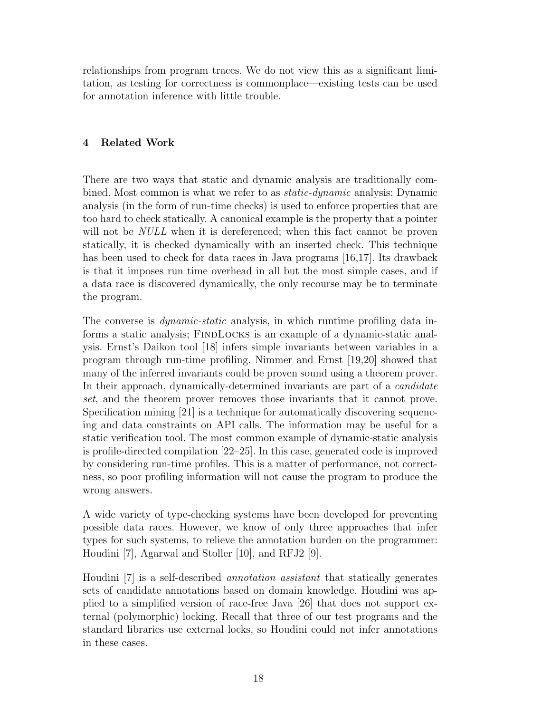relationships from program traces. We do not view this as a significant limitation, as testing for correctness is commonplace—existing tests can be used for annotation inference with little trouble.

# 4 Related Work

There are two ways that static and dynamic analysis are traditionally combined. Most common is what we refer to as static-dynamic analysis: Dynamic analysis (in the form of run-time checks) is used to enforce properties that are too hard to check statically. A canonical example is the property that a pointer will not be *NULL* when it is dereferenced; when this fact cannot be proven statically, it is checked dynamically with an inserted check. This technique has been used to check for data races in Java programs [16,17]. Its drawback is that it imposes run time overhead in all but the most simple cases, and if a data race is discovered dynamically, the only recourse may be to terminate the program.

The converse is *dynamic-static* analysis, in which runtime profiling data informs a static analysis; FindLocks is an example of a dynamic-static analysis. Ernst's Daikon tool [18] infers simple invariants between variables in a program through run-time profiling. Nimmer and Ernst [19,20] showed that many of the inferred invariants could be proven sound using a theorem prover. In their approach, dynamically-determined invariants are part of a *candidate* set, and the theorem prover removes those invariants that it cannot prove. Specification mining [21] is a technique for automatically discovering sequencing and data constraints on API calls. The information may be useful for a static verification tool. The most common example of dynamic-static analysis is profile-directed compilation [22–25]. In this case, generated code is improved by considering run-time profiles. This is a matter of performance, not correctness, so poor profiling information will not cause the program to produce the wrong answers.

A wide variety of type-checking systems have been developed for preventing possible data races. However, we know of only three approaches that infer types for such systems, to relieve the annotation burden on the programmer: Houdini [7], Agarwal and Stoller [10], and RFJ2 [9].

Houdini [7] is a self-described annotation assistant that statically generates sets of candidate annotations based on domain knowledge. Houdini was applied to a simplified version of race-free Java [26] that does not support external (polymorphic) locking. Recall that three of our test programs and the standard libraries use external locks, so Houdini could not infer annotations in these cases.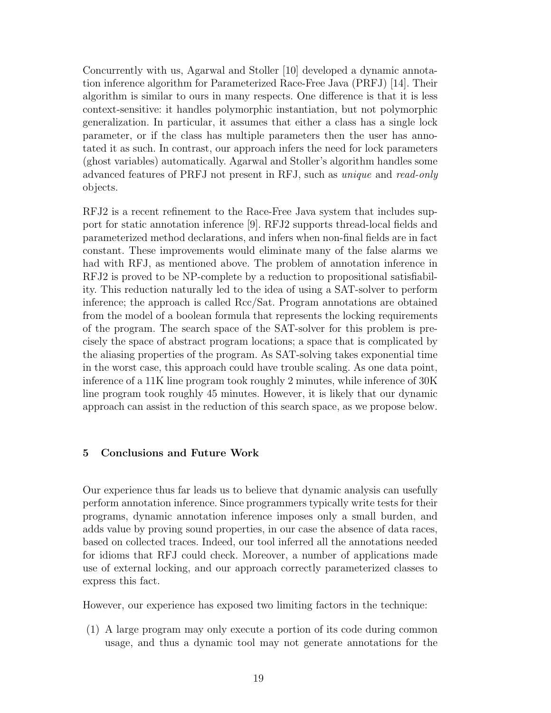Concurrently with us, Agarwal and Stoller [10] developed a dynamic annotation inference algorithm for Parameterized Race-Free Java (PRFJ) [14]. Their algorithm is similar to ours in many respects. One difference is that it is less context-sensitive: it handles polymorphic instantiation, but not polymorphic generalization. In particular, it assumes that either a class has a single lock parameter, or if the class has multiple parameters then the user has annotated it as such. In contrast, our approach infers the need for lock parameters (ghost variables) automatically. Agarwal and Stoller's algorithm handles some advanced features of PRFJ not present in RFJ, such as unique and read-only objects.

RFJ2 is a recent refinement to the Race-Free Java system that includes support for static annotation inference [9]. RFJ2 supports thread-local fields and parameterized method declarations, and infers when non-final fields are in fact constant. These improvements would eliminate many of the false alarms we had with RFJ, as mentioned above. The problem of annotation inference in RFJ2 is proved to be NP-complete by a reduction to propositional satisfiability. This reduction naturally led to the idea of using a SAT-solver to perform inference; the approach is called Rcc/Sat. Program annotations are obtained from the model of a boolean formula that represents the locking requirements of the program. The search space of the SAT-solver for this problem is precisely the space of abstract program locations; a space that is complicated by the aliasing properties of the program. As SAT-solving takes exponential time in the worst case, this approach could have trouble scaling. As one data point, inference of a 11K line program took roughly 2 minutes, while inference of 30K line program took roughly 45 minutes. However, it is likely that our dynamic approach can assist in the reduction of this search space, as we propose below.

#### 5 Conclusions and Future Work

Our experience thus far leads us to believe that dynamic analysis can usefully perform annotation inference. Since programmers typically write tests for their programs, dynamic annotation inference imposes only a small burden, and adds value by proving sound properties, in our case the absence of data races, based on collected traces. Indeed, our tool inferred all the annotations needed for idioms that RFJ could check. Moreover, a number of applications made use of external locking, and our approach correctly parameterized classes to express this fact.

However, our experience has exposed two limiting factors in the technique:

(1) A large program may only execute a portion of its code during common usage, and thus a dynamic tool may not generate annotations for the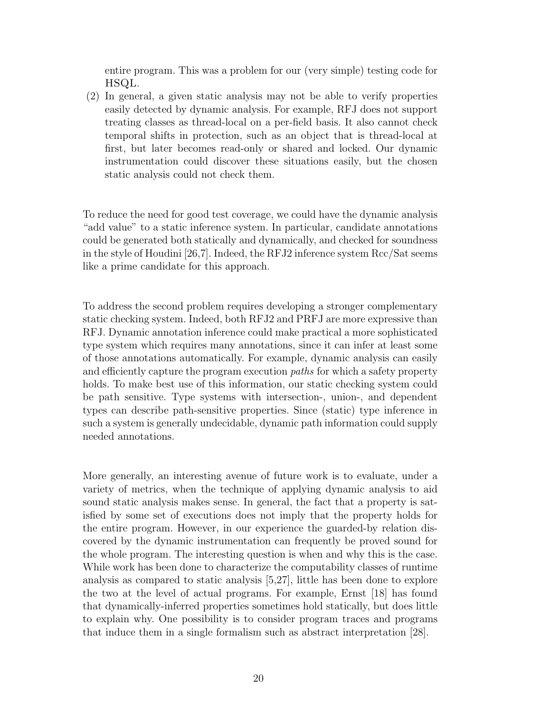entire program. This was a problem for our (very simple) testing code for HSQL.

(2) In general, a given static analysis may not be able to verify properties easily detected by dynamic analysis. For example, RFJ does not support treating classes as thread-local on a per-field basis. It also cannot check temporal shifts in protection, such as an object that is thread-local at first, but later becomes read-only or shared and locked. Our dynamic instrumentation could discover these situations easily, but the chosen static analysis could not check them.

To reduce the need for good test coverage, we could have the dynamic analysis "add value" to a static inference system. In particular, candidate annotations could be generated both statically and dynamically, and checked for soundness in the style of Houdini [26,7]. Indeed, the RFJ2 inference system Rcc/Sat seems like a prime candidate for this approach.

To address the second problem requires developing a stronger complementary static checking system. Indeed, both RFJ2 and PRFJ are more expressive than RFJ. Dynamic annotation inference could make practical a more sophisticated type system which requires many annotations, since it can infer at least some of those annotations automatically. For example, dynamic analysis can easily and efficiently capture the program execution paths for which a safety property holds. To make best use of this information, our static checking system could be path sensitive. Type systems with intersection-, union-, and dependent types can describe path-sensitive properties. Since (static) type inference in such a system is generally undecidable, dynamic path information could supply needed annotations.

More generally, an interesting avenue of future work is to evaluate, under a variety of metrics, when the technique of applying dynamic analysis to aid sound static analysis makes sense. In general, the fact that a property is satisfied by some set of executions does not imply that the property holds for the entire program. However, in our experience the guarded-by relation discovered by the dynamic instrumentation can frequently be proved sound for the whole program. The interesting question is when and why this is the case. While work has been done to characterize the computability classes of runtime analysis as compared to static analysis [5,27], little has been done to explore the two at the level of actual programs. For example, Ernst [18] has found that dynamically-inferred properties sometimes hold statically, but does little to explain why. One possibility is to consider program traces and programs that induce them in a single formalism such as abstract interpretation [28].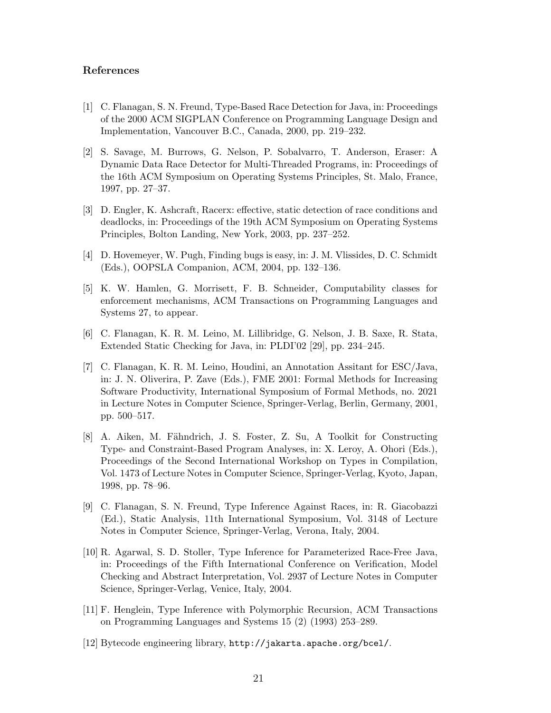#### References

- [1] C. Flanagan, S. N. Freund, Type-Based Race Detection for Java, in: Proceedings of the 2000 ACM SIGPLAN Conference on Programming Language Design and Implementation, Vancouver B.C., Canada, 2000, pp. 219–232.
- [2] S. Savage, M. Burrows, G. Nelson, P. Sobalvarro, T. Anderson, Eraser: A Dynamic Data Race Detector for Multi-Threaded Programs, in: Proceedings of the 16th ACM Symposium on Operating Systems Principles, St. Malo, France, 1997, pp. 27–37.
- [3] D. Engler, K. Ashcraft, Racerx: effective, static detection of race conditions and deadlocks, in: Proceedings of the 19th ACM Symposium on Operating Systems Principles, Bolton Landing, New York, 2003, pp. 237–252.
- [4] D. Hovemeyer, W. Pugh, Finding bugs is easy, in: J. M. Vlissides, D. C. Schmidt (Eds.), OOPSLA Companion, ACM, 2004, pp. 132–136.
- [5] K. W. Hamlen, G. Morrisett, F. B. Schneider, Computability classes for enforcement mechanisms, ACM Transactions on Programming Languages and Systems 27, to appear.
- [6] C. Flanagan, K. R. M. Leino, M. Lillibridge, G. Nelson, J. B. Saxe, R. Stata, Extended Static Checking for Java, in: PLDI'02 [29], pp. 234–245.
- [7] C. Flanagan, K. R. M. Leino, Houdini, an Annotation Assitant for ESC/Java, in: J. N. Oliverira, P. Zave (Eds.), FME 2001: Formal Methods for Increasing Software Productivity, International Symposium of Formal Methods, no. 2021 in Lecture Notes in Computer Science, Springer-Verlag, Berlin, Germany, 2001, pp. 500–517.
- [8] A. Aiken, M. Fähndrich, J. S. Foster, Z. Su, A Toolkit for Constructing Type- and Constraint-Based Program Analyses, in: X. Leroy, A. Ohori (Eds.), Proceedings of the Second International Workshop on Types in Compilation, Vol. 1473 of Lecture Notes in Computer Science, Springer-Verlag, Kyoto, Japan, 1998, pp. 78–96.
- [9] C. Flanagan, S. N. Freund, Type Inference Against Races, in: R. Giacobazzi (Ed.), Static Analysis, 11th International Symposium, Vol. 3148 of Lecture Notes in Computer Science, Springer-Verlag, Verona, Italy, 2004.
- [10] R. Agarwal, S. D. Stoller, Type Inference for Parameterized Race-Free Java, in: Proceedings of the Fifth International Conference on Verification, Model Checking and Abstract Interpretation, Vol. 2937 of Lecture Notes in Computer Science, Springer-Verlag, Venice, Italy, 2004.
- [11] F. Henglein, Type Inference with Polymorphic Recursion, ACM Transactions on Programming Languages and Systems 15 (2) (1993) 253–289.
- [12] Bytecode engineering library, http://jakarta.apache.org/bcel/.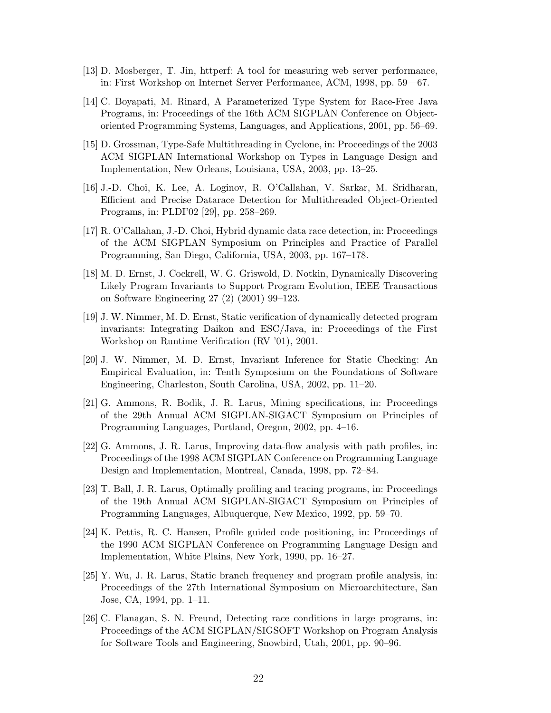- [13] D. Mosberger, T. Jin, httperf: A tool for measuring web server performance, in: First Workshop on Internet Server Performance, ACM, 1998, pp. 59—67.
- [14] C. Boyapati, M. Rinard, A Parameterized Type System for Race-Free Java Programs, in: Proceedings of the 16th ACM SIGPLAN Conference on Objectoriented Programming Systems, Languages, and Applications, 2001, pp. 56–69.
- [15] D. Grossman, Type-Safe Multithreading in Cyclone, in: Proceedings of the 2003 ACM SIGPLAN International Workshop on Types in Language Design and Implementation, New Orleans, Louisiana, USA, 2003, pp. 13–25.
- [16] J.-D. Choi, K. Lee, A. Loginov, R. O'Callahan, V. Sarkar, M. Sridharan, Efficient and Precise Datarace Detection for Multithreaded Object-Oriented Programs, in: PLDI'02 [29], pp. 258–269.
- [17] R. O'Callahan, J.-D. Choi, Hybrid dynamic data race detection, in: Proceedings of the ACM SIGPLAN Symposium on Principles and Practice of Parallel Programming, San Diego, California, USA, 2003, pp. 167–178.
- [18] M. D. Ernst, J. Cockrell, W. G. Griswold, D. Notkin, Dynamically Discovering Likely Program Invariants to Support Program Evolution, IEEE Transactions on Software Engineering 27 (2) (2001) 99–123.
- [19] J. W. Nimmer, M. D. Ernst, Static verification of dynamically detected program invariants: Integrating Daikon and ESC/Java, in: Proceedings of the First Workshop on Runtime Verification (RV '01), 2001.
- [20] J. W. Nimmer, M. D. Ernst, Invariant Inference for Static Checking: An Empirical Evaluation, in: Tenth Symposium on the Foundations of Software Engineering, Charleston, South Carolina, USA, 2002, pp. 11–20.
- [21] G. Ammons, R. Bodik, J. R. Larus, Mining specifications, in: Proceedings of the 29th Annual ACM SIGPLAN-SIGACT Symposium on Principles of Programming Languages, Portland, Oregon, 2002, pp. 4–16.
- [22] G. Ammons, J. R. Larus, Improving data-flow analysis with path profiles, in: Proceedings of the 1998 ACM SIGPLAN Conference on Programming Language Design and Implementation, Montreal, Canada, 1998, pp. 72–84.
- [23] T. Ball, J. R. Larus, Optimally profiling and tracing programs, in: Proceedings of the 19th Annual ACM SIGPLAN-SIGACT Symposium on Principles of Programming Languages, Albuquerque, New Mexico, 1992, pp. 59–70.
- [24] K. Pettis, R. C. Hansen, Profile guided code positioning, in: Proceedings of the 1990 ACM SIGPLAN Conference on Programming Language Design and Implementation, White Plains, New York, 1990, pp. 16–27.
- [25] Y. Wu, J. R. Larus, Static branch frequency and program profile analysis, in: Proceedings of the 27th International Symposium on Microarchitecture, San Jose, CA, 1994, pp. 1–11.
- [26] C. Flanagan, S. N. Freund, Detecting race conditions in large programs, in: Proceedings of the ACM SIGPLAN/SIGSOFT Workshop on Program Analysis for Software Tools and Engineering, Snowbird, Utah, 2001, pp. 90–96.